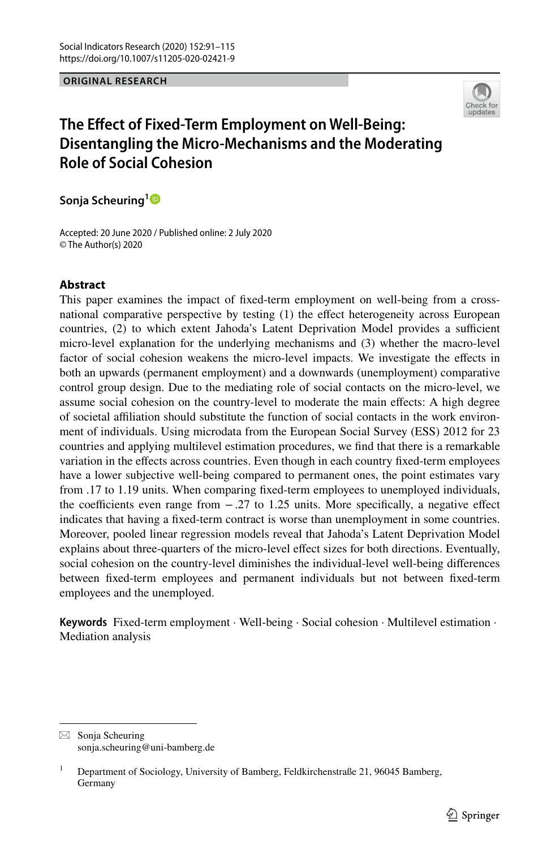#### **ORIGINAL RESEARCH**



# **The Efect of Fixed‑Term Employment on Well‑Being: Disentangling the Micro‑Mechanisms and the Moderating Role of Social Cohesion**

**Sonja Scheuring[1](http://orcid.org/0000-0001-9948-3003)**

Accepted: 20 June 2020 / Published online: 2 July 2020 © The Author(s) 2020

## **Abstract**

This paper examines the impact of fxed-term employment on well-being from a crossnational comparative perspective by testing (1) the efect heterogeneity across European countries, (2) to which extent Jahoda's Latent Deprivation Model provides a sufficient micro-level explanation for the underlying mechanisms and (3) whether the macro-level factor of social cohesion weakens the micro-level impacts. We investigate the efects in both an upwards (permanent employment) and a downwards (unemployment) comparative control group design. Due to the mediating role of social contacts on the micro-level, we assume social cohesion on the country-level to moderate the main efects: A high degree of societal afliation should substitute the function of social contacts in the work environment of individuals. Using microdata from the European Social Survey (ESS) 2012 for 23 countries and applying multilevel estimation procedures, we fnd that there is a remarkable variation in the efects across countries. Even though in each country fxed-term employees have a lower subjective well-being compared to permanent ones, the point estimates vary from .17 to 1.19 units. When comparing fxed-term employees to unemployed individuals, the coefficients even range from  $-.27$  to 1.25 units. More specifically, a negative effect indicates that having a fxed-term contract is worse than unemployment in some countries. Moreover, pooled linear regression models reveal that Jahoda's Latent Deprivation Model explains about three-quarters of the micro-level efect sizes for both directions. Eventually, social cohesion on the country-level diminishes the individual-level well-being diferences between fxed-term employees and permanent individuals but not between fxed-term employees and the unemployed.

**Keywords** Fixed-term employment · Well-being · Social cohesion · Multilevel estimation · Mediation analysis

 $\boxtimes$  Sonia Scheuring sonja.scheuring@uni-bamberg.de

<sup>&</sup>lt;sup>1</sup> Department of Sociology, University of Bamberg, Feldkirchenstraße 21, 96045 Bamberg, Germany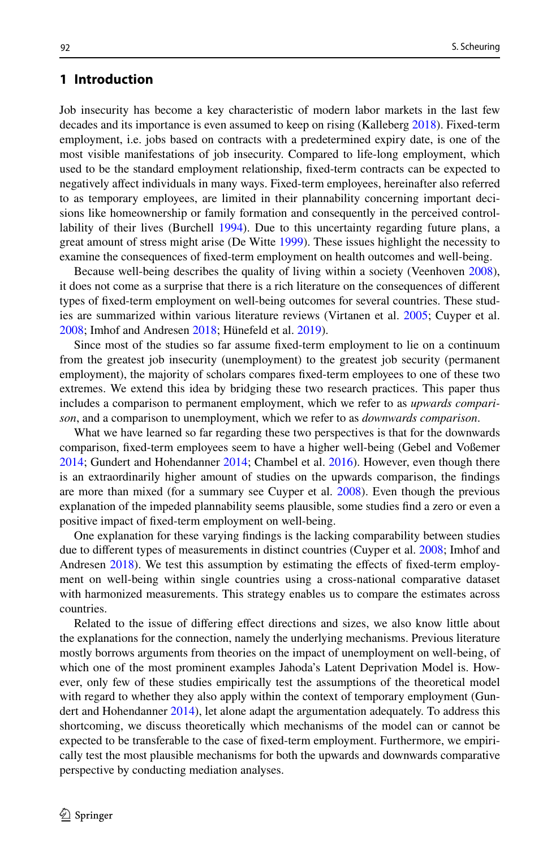# **1 Introduction**

Job insecurity has become a key characteristic of modern labor markets in the last few decades and its importance is even assumed to keep on rising (Kalleberg [2018\)](#page-24-0). Fixed-term employment, i.e. jobs based on contracts with a predetermined expiry date, is one of the most visible manifestations of job insecurity. Compared to life-long employment, which used to be the standard employment relationship, fxed-term contracts can be expected to negatively afect individuals in many ways. Fixed-term employees, hereinafter also referred to as temporary employees, are limited in their plannability concerning important decisions like homeownership or family formation and consequently in the perceived controllability of their lives (Burchell [1994\)](#page-23-0). Due to this uncertainty regarding future plans, a great amount of stress might arise (De Witte [1999](#page-23-1)). These issues highlight the necessity to examine the consequences of fxed-term employment on health outcomes and well-being.

Because well-being describes the quality of living within a society (Veenhoven [2008](#page-24-1)), it does not come as a surprise that there is a rich literature on the consequences of diferent types of fxed-term employment on well-being outcomes for several countries. These studies are summarized within various literature reviews (Virtanen et al. [2005;](#page-24-2) Cuyper et al. [2008;](#page-23-2) Imhof and Andresen [2018](#page-24-3); Hünefeld et al. [2019](#page-23-3)).

Since most of the studies so far assume fxed-term employment to lie on a continuum from the greatest job insecurity (unemployment) to the greatest job security (permanent employment), the majority of scholars compares fxed-term employees to one of these two extremes. We extend this idea by bridging these two research practices. This paper thus includes a comparison to permanent employment, which we refer to as *upwards comparison*, and a comparison to unemployment, which we refer to as *downwards comparison*.

What we have learned so far regarding these two perspectives is that for the downwards comparison, fxed-term employees seem to have a higher well-being (Gebel and Voßemer [2014;](#page-23-4) Gundert and Hohendanner [2014](#page-23-5); Chambel et al. [2016](#page-23-6)). However, even though there is an extraordinarily higher amount of studies on the upwards comparison, the fndings are more than mixed (for a summary see Cuyper et al. [2008\)](#page-23-2). Even though the previous explanation of the impeded plannability seems plausible, some studies fnd a zero or even a positive impact of fxed-term employment on well-being.

One explanation for these varying fndings is the lacking comparability between studies due to different types of measurements in distinct countries (Cuyper et al. [2008](#page-23-2); Imhof and Andresen [2018](#page-24-3)). We test this assumption by estimating the efects of fxed-term employment on well-being within single countries using a cross-national comparative dataset with harmonized measurements. This strategy enables us to compare the estimates across countries.

Related to the issue of difering efect directions and sizes, we also know little about the explanations for the connection, namely the underlying mechanisms. Previous literature mostly borrows arguments from theories on the impact of unemployment on well-being, of which one of the most prominent examples Jahoda's Latent Deprivation Model is. However, only few of these studies empirically test the assumptions of the theoretical model with regard to whether they also apply within the context of temporary employment (Gundert and Hohendanner [2014\)](#page-23-5), let alone adapt the argumentation adequately. To address this shortcoming, we discuss theoretically which mechanisms of the model can or cannot be expected to be transferable to the case of fxed-term employment. Furthermore, we empirically test the most plausible mechanisms for both the upwards and downwards comparative perspective by conducting mediation analyses.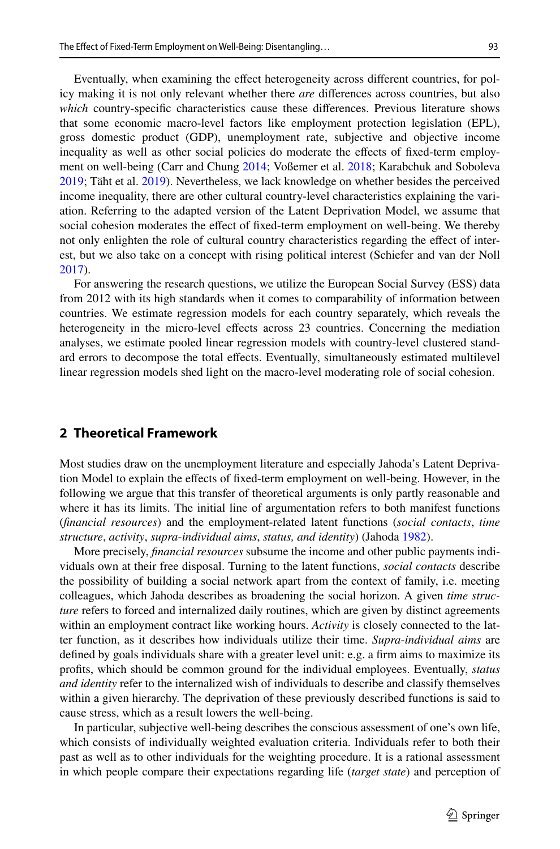icy making it is not only relevant whether there *are* diferences across countries, but also *which* country-specifc characteristics cause these diferences. Previous literature shows that some economic macro-level factors like employment protection legislation (EPL), gross domestic product (GDP), unemployment rate, subjective and objective income inequality as well as other social policies do moderate the efects of fxed-term employment on well-being (Carr and Chung [2014](#page-23-7); Voßemer et al. [2018](#page-24-4); Karabchuk and Soboleva [2019;](#page-24-5) Täht et al. [2019](#page-24-6)). Nevertheless, we lack knowledge on whether besides the perceived income inequality, there are other cultural country-level characteristics explaining the variation. Referring to the adapted version of the Latent Deprivation Model, we assume that social cohesion moderates the efect of fxed-term employment on well-being. We thereby not only enlighten the role of cultural country characteristics regarding the efect of interest, but we also take on a concept with rising political interest (Schiefer and van der Noll [2017\)](#page-24-7).

For answering the research questions, we utilize the European Social Survey (ESS) data from 2012 with its high standards when it comes to comparability of information between countries. We estimate regression models for each country separately, which reveals the heterogeneity in the micro-level efects across 23 countries. Concerning the mediation analyses, we estimate pooled linear regression models with country-level clustered standard errors to decompose the total efects. Eventually, simultaneously estimated multilevel linear regression models shed light on the macro-level moderating role of social cohesion.

## **2 Theoretical Framework**

Most studies draw on the unemployment literature and especially Jahoda's Latent Deprivation Model to explain the efects of fxed-term employment on well-being. However, in the following we argue that this transfer of theoretical arguments is only partly reasonable and where it has its limits. The initial line of argumentation refers to both manifest functions (*fnancial resources*) and the employment-related latent functions (*social contacts*, *time structure*, *activity*, *supra*-*individual aims*, *status, and identity*) (Jahoda [1982\)](#page-24-8).

More precisely, *fnancial resources* subsume the income and other public payments individuals own at their free disposal. Turning to the latent functions, *social contacts* describe the possibility of building a social network apart from the context of family, i.e. meeting colleagues, which Jahoda describes as broadening the social horizon. A given *time structure* refers to forced and internalized daily routines, which are given by distinct agreements within an employment contract like working hours. *Activity* is closely connected to the latter function, as it describes how individuals utilize their time. *Supra*-*individual aims* are defned by goals individuals share with a greater level unit: e.g. a frm aims to maximize its profts, which should be common ground for the individual employees. Eventually, *status and identity* refer to the internalized wish of individuals to describe and classify themselves within a given hierarchy. The deprivation of these previously described functions is said to cause stress, which as a result lowers the well-being.

In particular, subjective well-being describes the conscious assessment of one's own life, which consists of individually weighted evaluation criteria. Individuals refer to both their past as well as to other individuals for the weighting procedure. It is a rational assessment in which people compare their expectations regarding life (*target state*) and perception of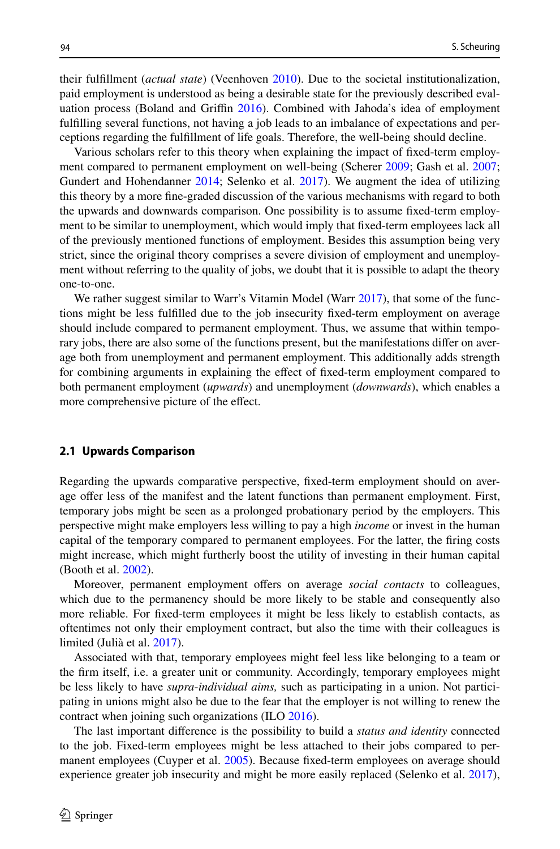their fulfllment (*actual state*) (Veenhoven [2010](#page-24-9)). Due to the societal institutionalization, paid employment is understood as being a desirable state for the previously described eval-uation process (Boland and Griffin [2016\)](#page-22-0). Combined with Jahoda's idea of employment fulflling several functions, not having a job leads to an imbalance of expectations and perceptions regarding the fulfllment of life goals. Therefore, the well-being should decline.

Various scholars refer to this theory when explaining the impact of fxed-term employment compared to permanent employment on well-being (Scherer [2009;](#page-24-10) Gash et al. [2007;](#page-23-8) Gundert and Hohendanner [2014](#page-23-5); Selenko et al. [2017](#page-24-11)). We augment the idea of utilizing this theory by a more fne-graded discussion of the various mechanisms with regard to both the upwards and downwards comparison. One possibility is to assume fxed-term employment to be similar to unemployment, which would imply that fxed-term employees lack all of the previously mentioned functions of employment. Besides this assumption being very strict, since the original theory comprises a severe division of employment and unemployment without referring to the quality of jobs, we doubt that it is possible to adapt the theory one-to-one.

We rather suggest similar to Warr's Vitamin Model (Warr [2017](#page-24-12)), that some of the functions might be less fulflled due to the job insecurity fxed-term employment on average should include compared to permanent employment. Thus, we assume that within temporary jobs, there are also some of the functions present, but the manifestations difer on average both from unemployment and permanent employment. This additionally adds strength for combining arguments in explaining the efect of fxed-term employment compared to both permanent employment (*upwards*) and unemployment (*downwards*), which enables a more comprehensive picture of the effect.

#### **2.1 Upwards Comparison**

Regarding the upwards comparative perspective, fxed-term employment should on average offer less of the manifest and the latent functions than permanent employment. First, temporary jobs might be seen as a prolonged probationary period by the employers. This perspective might make employers less willing to pay a high *income* or invest in the human capital of the temporary compared to permanent employees. For the latter, the fring costs might increase, which might furtherly boost the utility of investing in their human capital (Booth et al. [2002](#page-23-9)).

Moreover, permanent employment offers on average *social contacts* to colleagues, which due to the permanency should be more likely to be stable and consequently also more reliable. For fxed-term employees it might be less likely to establish contacts, as oftentimes not only their employment contract, but also the time with their colleagues is limited (Julià et al. [2017](#page-24-13)).

Associated with that, temporary employees might feel less like belonging to a team or the frm itself, i.e. a greater unit or community. Accordingly, temporary employees might be less likely to have *supra*-*individual aims,* such as participating in a union. Not participating in unions might also be due to the fear that the employer is not willing to renew the contract when joining such organizations (ILO [2016](#page-23-10)).

The last important diference is the possibility to build a *status and identity* connected to the job. Fixed-term employees might be less attached to their jobs compared to per-manent employees (Cuyper et al. [2005](#page-23-11)). Because fixed-term employees on average should experience greater job insecurity and might be more easily replaced (Selenko et al. [2017](#page-24-11)),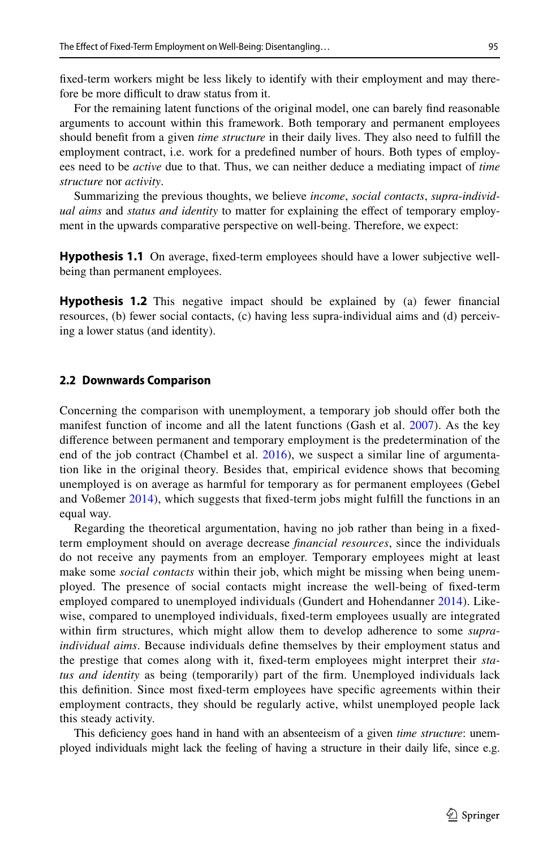fxed-term workers might be less likely to identify with their employment and may therefore be more difficult to draw status from it.

For the remaining latent functions of the original model, one can barely fnd reasonable arguments to account within this framework. Both temporary and permanent employees should beneft from a given *time structure* in their daily lives. They also need to fulfll the employment contract, i.e. work for a predefned number of hours. Both types of employees need to be *active* due to that. Thus, we can neither deduce a mediating impact of *time structure* nor *activity*.

Summarizing the previous thoughts, we believe *income*, *social contacts*, *supra*-*individual aims* and *status and identity* to matter for explaining the efect of temporary employment in the upwards comparative perspective on well-being. Therefore, we expect:

**Hypothesis 1.1** On average, fixed-term employees should have a lower subjective wellbeing than permanent employees.

<span id="page-4-0"></span>**Hypothesis 1.2** This negative impact should be explained by (a) fewer financial resources, (b) fewer social contacts, (c) having less supra-individual aims and (d) perceiving a lower status (and identity).

#### **2.2 Downwards Comparison**

Concerning the comparison with unemployment, a temporary job should ofer both the manifest function of income and all the latent functions (Gash et al. [2007\)](#page-23-8). As the key diference between permanent and temporary employment is the predetermination of the end of the job contract (Chambel et al. [2016\)](#page-23-6), we suspect a similar line of argumentation like in the original theory. Besides that, empirical evidence shows that becoming unemployed is on average as harmful for temporary as for permanent employees (Gebel and Voßemer [2014\)](#page-23-4), which suggests that fxed-term jobs might fulfll the functions in an equal way.

Regarding the theoretical argumentation, having no job rather than being in a fxedterm employment should on average decrease *fnancial resources*, since the individuals do not receive any payments from an employer. Temporary employees might at least make some *social contacts* within their job, which might be missing when being unemployed. The presence of social contacts might increase the well-being of fxed-term employed compared to unemployed individuals (Gundert and Hohendanner [2014](#page-23-5)). Likewise, compared to unemployed individuals, fxed-term employees usually are integrated within frm structures, which might allow them to develop adherence to some *supraindividual aims*. Because individuals defne themselves by their employment status and the prestige that comes along with it, fxed-term employees might interpret their *status and identity* as being (temporarily) part of the frm. Unemployed individuals lack this defnition. Since most fxed-term employees have specifc agreements within their employment contracts, they should be regularly active, whilst unemployed people lack this steady activity.

This defciency goes hand in hand with an absenteeism of a given *time structure*: unemployed individuals might lack the feeling of having a structure in their daily life, since e.g.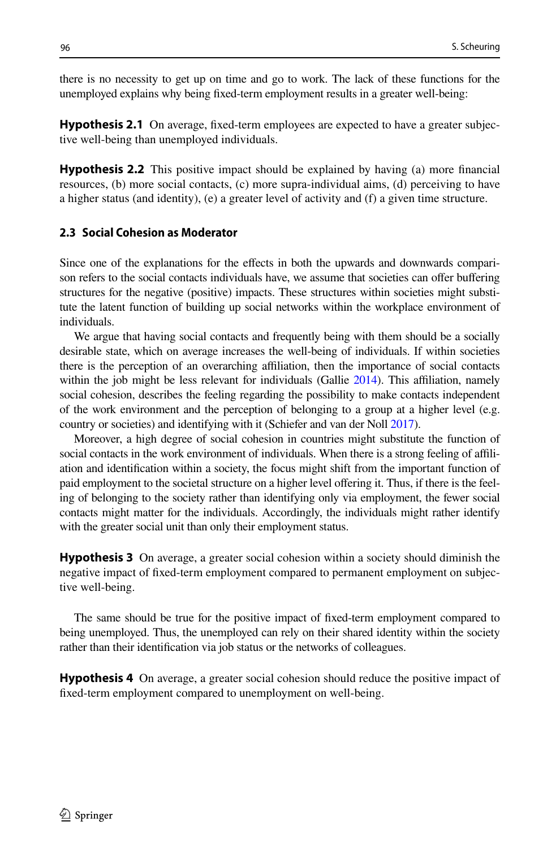there is no necessity to get up on time and go to work. The lack of these functions for the unemployed explains why being fxed-term employment results in a greater well-being:

<span id="page-5-0"></span>**Hypothesis 2.1** On average, fixed-term employees are expected to have a greater subjective well-being than unemployed individuals.

<span id="page-5-1"></span>**Hypothesis 2.2** This positive impact should be explained by having (a) more fnancial resources, (b) more social contacts, (c) more supra-individual aims, (d) perceiving to have a higher status (and identity), (e) a greater level of activity and (f) a given time structure.

## **2.3 Social Cohesion as Moderator**

Since one of the explanations for the efects in both the upwards and downwards comparison refers to the social contacts individuals have, we assume that societies can offer buffering structures for the negative (positive) impacts. These structures within societies might substitute the latent function of building up social networks within the workplace environment of individuals.

We argue that having social contacts and frequently being with them should be a socially desirable state, which on average increases the well-being of individuals. If within societies there is the perception of an overarching afliation, then the importance of social contacts within the job might be less relevant for individuals (Gallie [2014](#page-23-12)). This affiliation, namely social cohesion, describes the feeling regarding the possibility to make contacts independent of the work environment and the perception of belonging to a group at a higher level (e.g. country or societies) and identifying with it (Schiefer and van der Noll [2017](#page-24-7)).

Moreover, a high degree of social cohesion in countries might substitute the function of social contacts in the work environment of individuals. When there is a strong feeling of affiliation and identifcation within a society, the focus might shift from the important function of paid employment to the societal structure on a higher level ofering it. Thus, if there is the feeling of belonging to the society rather than identifying only via employment, the fewer social contacts might matter for the individuals. Accordingly, the individuals might rather identify with the greater social unit than only their employment status.

<span id="page-5-2"></span>**Hypothesis 3** On average, a greater social cohesion within a society should diminish the negative impact of fxed-term employment compared to permanent employment on subjective well-being.

The same should be true for the positive impact of fxed-term employment compared to being unemployed. Thus, the unemployed can rely on their shared identity within the society rather than their identifcation via job status or the networks of colleagues.

<span id="page-5-3"></span>**Hypothesis 4** On average, a greater social cohesion should reduce the positive impact of fxed-term employment compared to unemployment on well-being.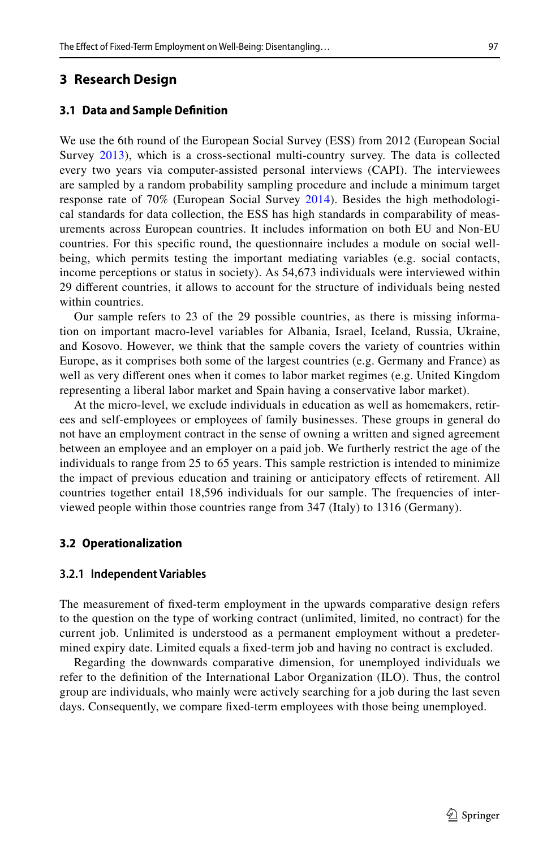## **3 Research Design**

#### **3.1 Data and Sample Defnition**

We use the 6th round of the European Social Survey (ESS) from 2012 (European Social Survey [2013\)](#page-23-13), which is a cross-sectional multi-country survey. The data is collected every two years via computer-assisted personal interviews (CAPI). The interviewees are sampled by a random probability sampling procedure and include a minimum target response rate of 70% (European Social Survey [2014](#page-23-14)). Besides the high methodological standards for data collection, the ESS has high standards in comparability of measurements across European countries. It includes information on both EU and Non-EU countries. For this specifc round, the questionnaire includes a module on social wellbeing, which permits testing the important mediating variables (e.g. social contacts, income perceptions or status in society). As 54,673 individuals were interviewed within 29 diferent countries, it allows to account for the structure of individuals being nested within countries.

Our sample refers to 23 of the 29 possible countries, as there is missing information on important macro-level variables for Albania, Israel, Iceland, Russia, Ukraine, and Kosovo. However, we think that the sample covers the variety of countries within Europe, as it comprises both some of the largest countries (e.g. Germany and France) as well as very diferent ones when it comes to labor market regimes (e.g. United Kingdom representing a liberal labor market and Spain having a conservative labor market).

At the micro-level, we exclude individuals in education as well as homemakers, retirees and self-employees or employees of family businesses. These groups in general do not have an employment contract in the sense of owning a written and signed agreement between an employee and an employer on a paid job. We furtherly restrict the age of the individuals to range from 25 to 65 years. This sample restriction is intended to minimize the impact of previous education and training or anticipatory efects of retirement. All countries together entail 18,596 individuals for our sample. The frequencies of interviewed people within those countries range from 347 (Italy) to 1316 (Germany).

#### **3.2 Operationalization**

#### **3.2.1 Independent Variables**

The measurement of fxed-term employment in the upwards comparative design refers to the question on the type of working contract (unlimited, limited, no contract) for the current job. Unlimited is understood as a permanent employment without a predetermined expiry date. Limited equals a fxed-term job and having no contract is excluded.

Regarding the downwards comparative dimension, for unemployed individuals we refer to the defnition of the International Labor Organization (ILO). Thus, the control group are individuals, who mainly were actively searching for a job during the last seven days. Consequently, we compare fxed-term employees with those being unemployed.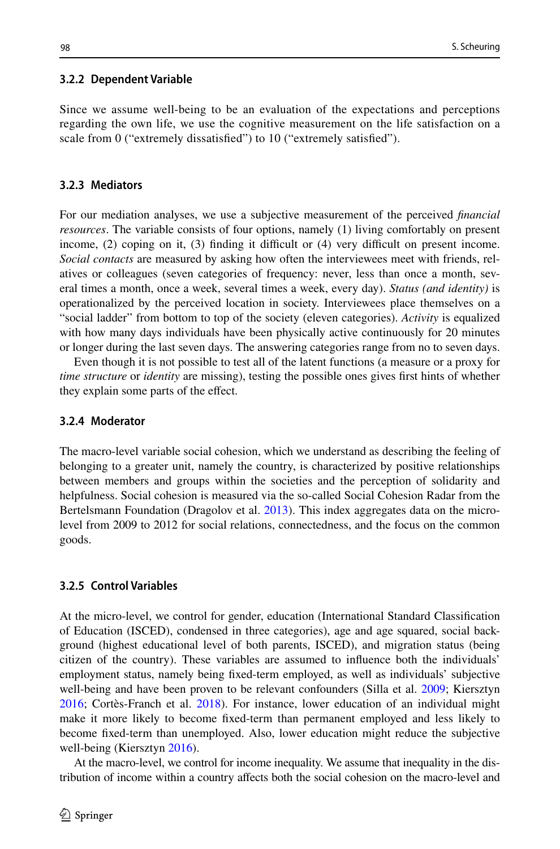## **3.2.2 Dependent Variable**

Since we assume well-being to be an evaluation of the expectations and perceptions regarding the own life, we use the cognitive measurement on the life satisfaction on a scale from 0 ("extremely dissatisfied") to 10 ("extremely satisfied").

## **3.2.3 Mediators**

For our mediation analyses, we use a subjective measurement of the perceived *fnancial resources*. The variable consists of four options, namely (1) living comfortably on present income,  $(2)$  coping on it,  $(3)$  finding it difficult or  $(4)$  very difficult on present income. *Social contacts* are measured by asking how often the interviewees meet with friends, relatives or colleagues (seven categories of frequency: never, less than once a month, several times a month, once a week, several times a week, every day). *Status (and identity)* is operationalized by the perceived location in society. Interviewees place themselves on a "social ladder" from bottom to top of the society (eleven categories). *Activity* is equalized with how many days individuals have been physically active continuously for 20 minutes or longer during the last seven days. The answering categories range from no to seven days.

Even though it is not possible to test all of the latent functions (a measure or a proxy for *time structure* or *identity* are missing), testing the possible ones gives frst hints of whether they explain some parts of the effect.

## **3.2.4 Moderator**

The macro-level variable social cohesion, which we understand as describing the feeling of belonging to a greater unit, namely the country, is characterized by positive relationships between members and groups within the societies and the perception of solidarity and helpfulness. Social cohesion is measured via the so-called Social Cohesion Radar from the Bertelsmann Foundation (Dragolov et al. [2013](#page-23-15)). This index aggregates data on the microlevel from 2009 to 2012 for social relations, connectedness, and the focus on the common goods.

## **3.2.5 Control Variables**

At the micro-level, we control for gender, education (International Standard Classifcation of Education (ISCED), condensed in three categories), age and age squared, social background (highest educational level of both parents, ISCED), and migration status (being citizen of the country). These variables are assumed to infuence both the individuals' employment status, namely being fxed-term employed, as well as individuals' subjective well-being and have been proven to be relevant confounders (Silla et al. [2009;](#page-24-14) Kiersztyn [2016;](#page-24-15) Cortès-Franch et al. [2018](#page-23-16)). For instance, lower education of an individual might make it more likely to become fxed-term than permanent employed and less likely to become fxed-term than unemployed. Also, lower education might reduce the subjective well-being (Kiersztyn [2016](#page-24-15)).

At the macro-level, we control for income inequality. We assume that inequality in the distribution of income within a country afects both the social cohesion on the macro-level and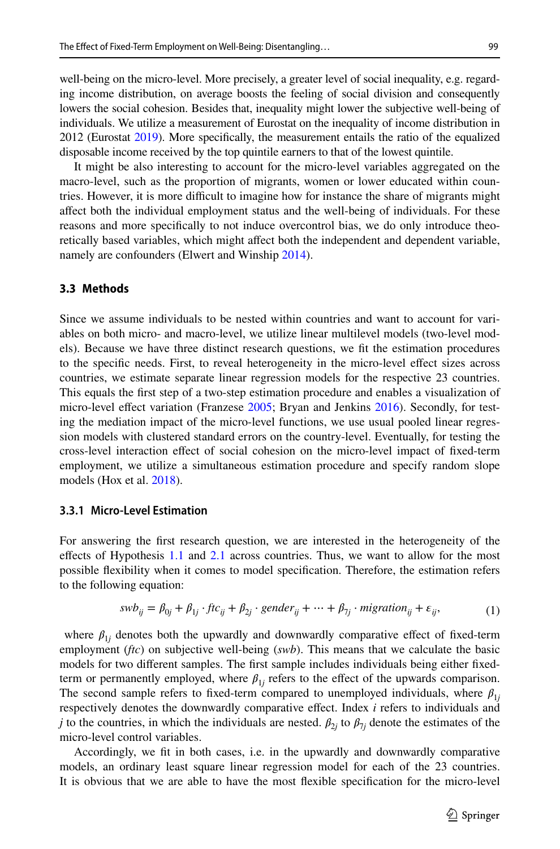well-being on the micro-level. More precisely, a greater level of social inequality, e.g. regarding income distribution, on average boosts the feeling of social division and consequently lowers the social cohesion. Besides that, inequality might lower the subjective well-being of individuals. We utilize a measurement of Eurostat on the inequality of income distribution in 2012 (Eurostat [2019](#page-23-17)). More specifcally, the measurement entails the ratio of the equalized disposable income received by the top quintile earners to that of the lowest quintile.

It might be also interesting to account for the micro-level variables aggregated on the macro-level, such as the proportion of migrants, women or lower educated within countries. However, it is more difficult to imagine how for instance the share of migrants might afect both the individual employment status and the well-being of individuals. For these reasons and more specifcally to not induce overcontrol bias, we do only introduce theoretically based variables, which might affect both the independent and dependent variable, namely are confounders (Elwert and Winship [2014](#page-23-18)).

## **3.3 Methods**

Since we assume individuals to be nested within countries and want to account for variables on both micro- and macro-level, we utilize linear multilevel models (two-level models). Because we have three distinct research questions, we ft the estimation procedures to the specifc needs. First, to reveal heterogeneity in the micro-level efect sizes across countries, we estimate separate linear regression models for the respective 23 countries. This equals the frst step of a two-step estimation procedure and enables a visualization of micro-level effect variation (Franzese [2005;](#page-23-19) Bryan and Jenkins [2016](#page-23-20)). Secondly, for testing the mediation impact of the micro-level functions, we use usual pooled linear regression models with clustered standard errors on the country-level. Eventually, for testing the cross-level interaction efect of social cohesion on the micro-level impact of fxed-term employment, we utilize a simultaneous estimation procedure and specify random slope models (Hox et al. [2018](#page-23-21)).

## **3.3.1 Micro‑Level Estimation**

For answering the frst research question, we are interested in the heterogeneity of the effects of Hypothesis [1.1](#page-22-1) and [2.1](#page-5-0) across countries. Thus, we want to allow for the most possible fexibility when it comes to model specifcation. Therefore, the estimation refers to the following equation:

$$
swb_{ij} = \beta_{0j} + \beta_{1j} \cdot ftc_{ij} + \beta_{2j} \cdot gender_{ij} + \dots + \beta_{7j} \cdot migration_{ij} + \varepsilon_{ij},
$$
\n(1)

where  $\beta_{1j}$  denotes both the upwardly and downwardly comparative effect of fixed-term employment (*ftc*) on subjective well-being (*swb*). This means that we calculate the basic models for two diferent samples. The frst sample includes individuals being either fxedterm or permanently employed, where  $\beta_{1j}$  refers to the effect of the upwards comparison. The second sample refers to fixed-term compared to unemployed individuals, where  $\beta_{1i}$ respectively denotes the downwardly comparative effect. Index *i* refers to individuals and *j* to the countries, in which the individuals are nested.  $\beta_{2j}$  to  $\beta_{7j}$  denote the estimates of the micro-level control variables.

Accordingly, we ft in both cases, i.e. in the upwardly and downwardly comparative models, an ordinary least square linear regression model for each of the 23 countries. It is obvious that we are able to have the most fexible specifcation for the micro-level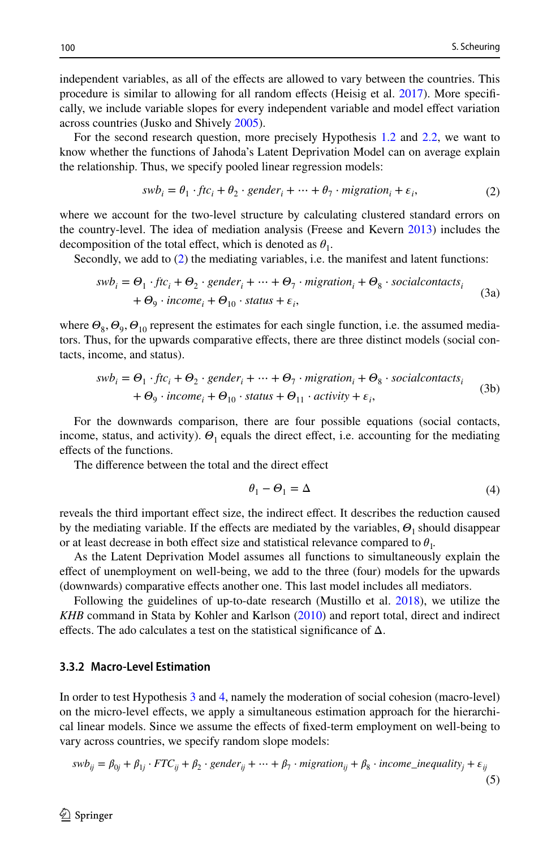independent variables, as all of the efects are allowed to vary between the countries. This procedure is similar to allowing for all random efects (Heisig et al. [2017](#page-23-22)). More specifcally, we include variable slopes for every independent variable and model efect variation across countries (Jusko and Shively [2005](#page-24-16)).

For the second research question, more precisely Hypothesis [1.2](#page-4-0) and [2.2](#page-5-1), we want to know whether the functions of Jahoda's Latent Deprivation Model can on average explain the relationship. Thus, we specify pooled linear regression models:

<span id="page-9-0"></span>
$$
swb_i = \theta_1 \cdot ftc_i + \theta_2 \cdot gender_i + \dots + \theta_7 \cdot migration_i + \varepsilon_i,
$$
\n(2)

where we account for the two-level structure by calculating clustered standard errors on the country-level. The idea of mediation analysis (Freese and Kevern [2013](#page-23-23)) includes the decomposition of the total effect, which is denoted as  $\theta_1$ .

Secondly, we add to ([2\)](#page-9-0) the mediating variables, i.e. the manifest and latent functions:

$$
swb_i = \Theta_1 \cdot ftc_i + \Theta_2 \cdot gender_i + \dots + \Theta_7 \cdot migration_i + \Theta_8 \cdot social contacts_i + \Theta_9 \cdot income_i + \Theta_{10} \cdot status + \varepsilon_i,
$$
\n(3a)

where  $\Theta_8$ ,  $\Theta_9$ ,  $\Theta_{10}$  represent the estimates for each single function, i.e. the assumed mediators. Thus, for the upwards comparative efects, there are three distinct models (social contacts, income, and status).

$$
swb_i = \Theta_1 \cdot ftc_i + \Theta_2 \cdot gender_i + \dots + \Theta_7 \cdot migration_i + \Theta_8 \cdot social contacts_i + \Theta_9 \cdot income_i + \Theta_{10} \cdot status + \Theta_{11} \cdot activity + \varepsilon_i,
$$
 (3b)

For the downwards comparison, there are four possible equations (social contacts, income, status, and activity).  $\Theta_1$  equals the direct effect, i.e. accounting for the mediating efects of the functions.

The difference between the total and the direct effect

$$
\theta_1 - \Theta_1 = \Delta \tag{4}
$$

reveals the third important efect size, the indirect efect. It describes the reduction caused by the mediating variable. If the effects are mediated by the variables,  $\Theta_1$  should disappear or at least decrease in both effect size and statistical relevance compared to  $\theta_1$ .

As the Latent Deprivation Model assumes all functions to simultaneously explain the efect of unemployment on well-being, we add to the three (four) models for the upwards (downwards) comparative efects another one. This last model includes all mediators.

Following the guidelines of up-to-date research (Mustillo et al. [2018\)](#page-24-17), we utilize the *KHB* command in Stata by Kohler and Karlson ([2010\)](#page-24-18) and report total, direct and indirect effects. The ado calculates a test on the statistical significance of  $\Delta$ .

#### **3.3.2 Macro‑Level Estimation**

In order to test Hypothesis [3](#page-5-2) and [4,](#page-5-3) namely the moderation of social cohesion (macro-level) on the micro-level efects, we apply a simultaneous estimation approach for the hierarchical linear models. Since we assume the efects of fxed-term employment on well-being to vary across countries, we specify random slope models:

$$
swb_{ij} = \beta_{0j} + \beta_{1j} \cdot FTC_{ij} + \beta_2 \cdot gender_{ij} + \dots + \beta_7 \cdot migration_{ij} + \beta_8 \cdot income\_inequality_j + \varepsilon_{ij}
$$
\n
$$
\tag{5}
$$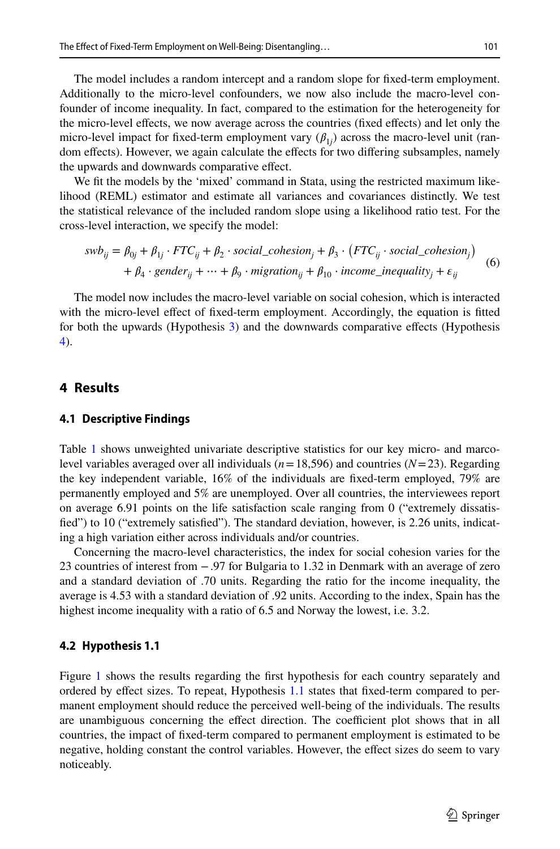The model includes a random intercept and a random slope for fxed-term employment. Additionally to the micro-level confounders, we now also include the macro-level confounder of income inequality. In fact, compared to the estimation for the heterogeneity for the micro-level efects, we now average across the countries (fxed efects) and let only the micro-level impact for fixed-term employment vary  $(\beta_{1j})$  across the macro-level unit (random efects). However, we again calculate the efects for two difering subsamples, namely the upwards and downwards comparative efect.

We ft the models by the 'mixed' command in Stata, using the restricted maximum likelihood (REML) estimator and estimate all variances and covariances distinctly. We test the statistical relevance of the included random slope using a likelihood ratio test. For the cross-level interaction, we specify the model:

$$
swb_{ij} = \beta_{0j} + \beta_{1j} \cdot FTC_{ij} + \beta_2 \cdot social\_cohesion_j + \beta_3 \cdot (FTC_{ij} \cdot social\_cohesion_j) + \beta_4 \cdot gender_{ij} + \dots + \beta_9 \cdot migration_{ij} + \beta_{10} \cdot income\_inequality_j + \varepsilon_{ij}
$$
 (6)

The model now includes the macro-level variable on social cohesion, which is interacted with the micro-level efect of fxed-term employment. Accordingly, the equation is ftted for both the upwards (Hypothesis [3\)](#page-5-2) and the downwards comparative efects (Hypothesis [4\)](#page-5-3).

## **4 Results**

## **4.1 Descriptive Findings**

Table [1](#page-11-0) shows unweighted univariate descriptive statistics for our key micro- and marcolevel variables averaged over all individuals ( $n=18,596$ ) and countries ( $N=23$ ). Regarding the key independent variable, 16% of the individuals are fxed-term employed, 79% are permanently employed and 5% are unemployed. Over all countries, the interviewees report on average 6.91 points on the life satisfaction scale ranging from 0 ("extremely dissatisfed") to 10 ("extremely satisfed"). The standard deviation, however, is 2.26 units, indicating a high variation either across individuals and/or countries.

Concerning the macro-level characteristics, the index for social cohesion varies for the 23 countries of interest from −.97 for Bulgaria to 1.32 in Denmark with an average of zero and a standard deviation of .70 units. Regarding the ratio for the income inequality, the average is 4.53 with a standard deviation of .92 units. According to the index, Spain has the highest income inequality with a ratio of 6.5 and Norway the lowest, i.e. 3.2.

## **4.2 Hypothesis 1.1**

Figure [1](#page-12-0) shows the results regarding the frst hypothesis for each country separately and ordered by efect sizes. To repeat, Hypothesis [1.1](#page-22-1) states that fxed-term compared to permanent employment should reduce the perceived well-being of the individuals. The results are unambiguous concerning the effect direction. The coefficient plot shows that in all countries, the impact of fxed-term compared to permanent employment is estimated to be negative, holding constant the control variables. However, the efect sizes do seem to vary noticeably.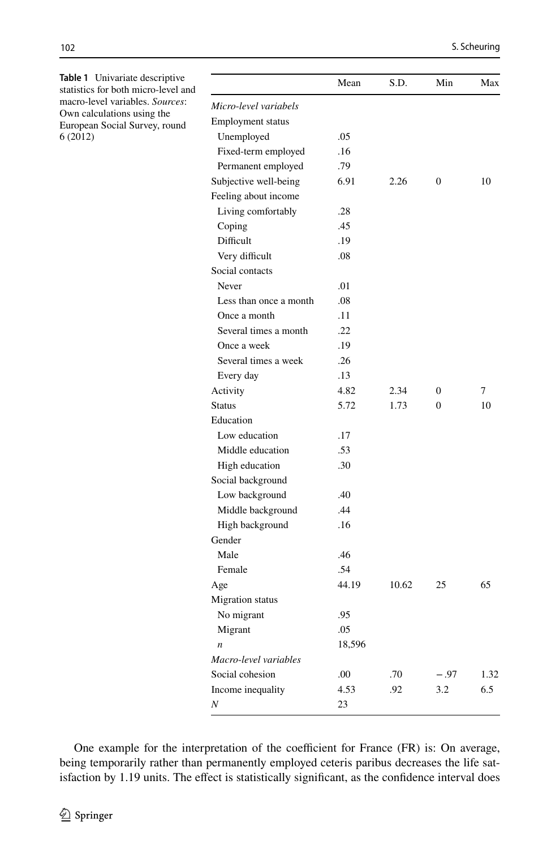|                          | Mean   | S.D.  | Min      | Max  |
|--------------------------|--------|-------|----------|------|
| Micro-level variabels    |        |       |          |      |
| <b>Employment</b> status |        |       |          |      |
| Unemployed               | .05    |       |          |      |
| Fixed-term employed      | .16    |       |          |      |
| Permanent employed       | .79    |       |          |      |
| Subjective well-being    | 6.91   | 2.26  | $\theta$ | 10   |
| Feeling about income     |        |       |          |      |
| Living comfortably       | .28    |       |          |      |
| Coping                   | .45    |       |          |      |
| Difficult                | .19    |       |          |      |
| Very difficult           | .08    |       |          |      |
| Social contacts          |        |       |          |      |
| Never                    | .01    |       |          |      |
| Less than once a month   | .08    |       |          |      |
| Once a month             | .11    |       |          |      |
| Several times a month    | .22    |       |          |      |
| Once a week              | .19    |       |          |      |
| Several times a week     | .26    |       |          |      |
| Every day                | .13    |       |          |      |
| Activity                 | 4.82   | 2.34  | 0        | 7    |
| <b>Status</b>            | 5.72   | 1.73  | $\Omega$ | 10   |
| Education                |        |       |          |      |
| Low education            | .17    |       |          |      |
| Middle education         | .53    |       |          |      |
| High education           | .30    |       |          |      |
| Social background        |        |       |          |      |
| Low background           | .40    |       |          |      |
| Middle background        | .44    |       |          |      |
| High background          | .16    |       |          |      |
| Gender                   |        |       |          |      |
| Male                     | .46    |       |          |      |
| Female                   | .54    |       |          |      |
| Age                      | 44.19  | 10.62 | 25       | 65   |
| <b>Migration</b> status  |        |       |          |      |
| No migrant               | .95    |       |          |      |
| Migrant                  | .05    |       |          |      |
| $\boldsymbol{n}$         | 18,596 |       |          |      |
| Macro-level variables    |        |       |          |      |
| Social cohesion          | .00    | .70   | $-.97$   | 1.32 |
| Income inequality        | 4.53   | .92   | 3.2      | 6.5  |
| N                        | 23     |       |          |      |

One example for the interpretation of the coefficient for France  $(FR)$  is: On average, being temporarily rather than permanently employed ceteris paribus decreases the life satisfaction by 1.19 units. The effect is statistically significant, as the confidence interval does

6 (2012)

<span id="page-11-0"></span>**Table 1** Univariate descriptive statistics for both micro-level and macro-level variables. *Sources*: Own calculations using the European Social Survey, round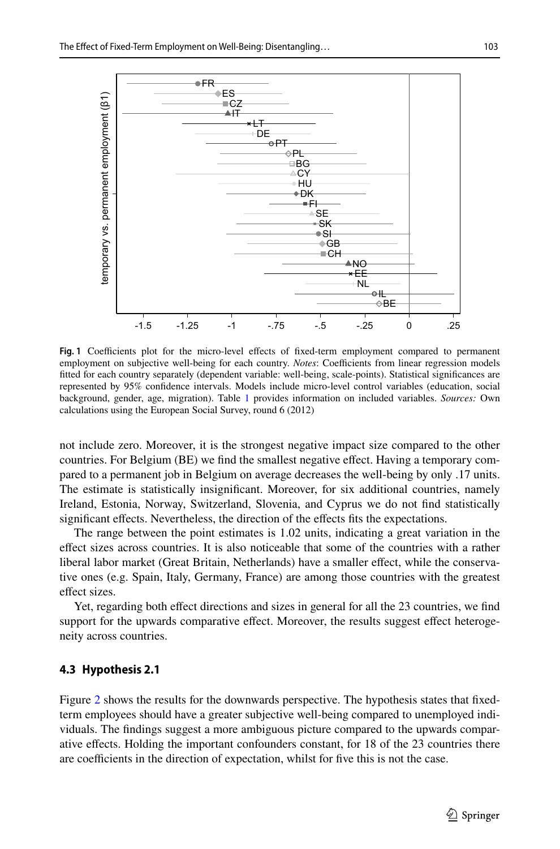

<span id="page-12-0"></span>Fig. 1 Coefficients plot for the micro-level effects of fixed-term employment compared to permanent employment on subjective well-being for each country. *Notes*: Coefficients from linear regression models ftted for each country separately (dependent variable: well-being, scale-points). Statistical signifcances are represented by 95% confdence intervals. Models include micro-level control variables (education, social background, gender, age, migration). Table [1](#page-11-0) provides information on included variables. *Sources:* Own calculations using the European Social Survey, round 6 (2012)

not include zero. Moreover, it is the strongest negative impact size compared to the other countries. For Belgium (BE) we fnd the smallest negative efect. Having a temporary compared to a permanent job in Belgium on average decreases the well-being by only .17 units. The estimate is statistically insignifcant. Moreover, for six additional countries, namely Ireland, Estonia, Norway, Switzerland, Slovenia, and Cyprus we do not fnd statistically significant effects. Nevertheless, the direction of the effects fits the expectations.

The range between the point estimates is 1.02 units, indicating a great variation in the efect sizes across countries. It is also noticeable that some of the countries with a rather liberal labor market (Great Britain, Netherlands) have a smaller efect, while the conservative ones (e.g. Spain, Italy, Germany, France) are among those countries with the greatest effect sizes.

Yet, regarding both efect directions and sizes in general for all the 23 countries, we fnd support for the upwards comparative effect. Moreover, the results suggest effect heterogeneity across countries.

#### **4.3 Hypothesis 2.1**

Figure [2](#page-13-0) shows the results for the downwards perspective. The hypothesis states that fixedterm employees should have a greater subjective well-being compared to unemployed individuals. The fndings suggest a more ambiguous picture compared to the upwards comparative efects. Holding the important confounders constant, for 18 of the 23 countries there are coefficients in the direction of expectation, whilst for five this is not the case.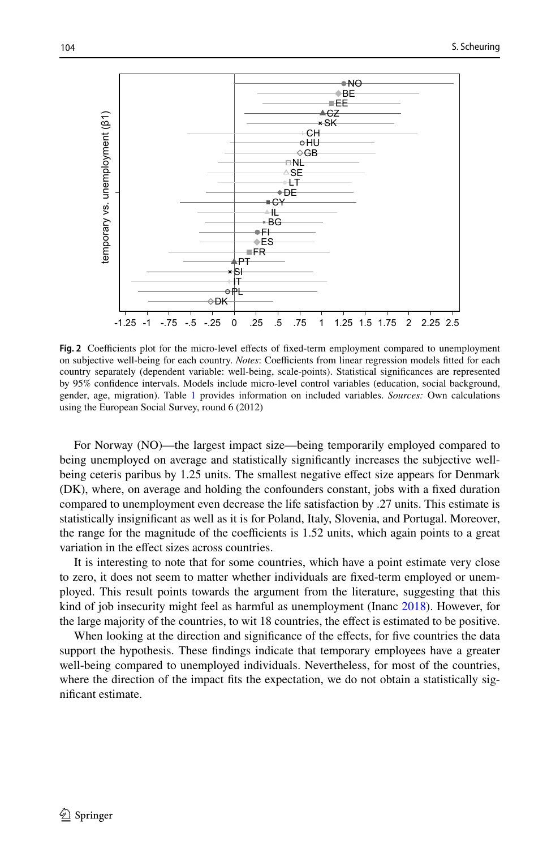

<span id="page-13-0"></span>Fig. 2 Coefficients plot for the micro-level effects of fixed-term employment compared to unemployment on subjective well-being for each country. *Notes*: Coefficients from linear regression models fitted for each country separately (dependent variable: well-being, scale-points). Statistical signifcances are represented by 95% confdence intervals. Models include micro-level control variables (education, social background, gender, age, migration). Table [1](#page-11-0) provides information on included variables. *Sources:* Own calculations using the European Social Survey, round 6 (2012)

For Norway (NO)—the largest impact size—being temporarily employed compared to being unemployed on average and statistically signifcantly increases the subjective wellbeing ceteris paribus by 1.25 units. The smallest negative effect size appears for Denmark (DK), where, on average and holding the confounders constant, jobs with a fxed duration compared to unemployment even decrease the life satisfaction by .27 units. This estimate is statistically insignifcant as well as it is for Poland, Italy, Slovenia, and Portugal. Moreover, the range for the magnitude of the coefficients is  $1.52$  units, which again points to a great variation in the efect sizes across countries.

It is interesting to note that for some countries, which have a point estimate very close to zero, it does not seem to matter whether individuals are fxed-term employed or unemployed. This result points towards the argument from the literature, suggesting that this kind of job insecurity might feel as harmful as unemployment (Inanc [2018\)](#page-24-19). However, for the large majority of the countries, to wit 18 countries, the efect is estimated to be positive.

When looking at the direction and significance of the effects, for five countries the data support the hypothesis. These fndings indicate that temporary employees have a greater well-being compared to unemployed individuals. Nevertheless, for most of the countries, where the direction of the impact fits the expectation, we do not obtain a statistically signifcant estimate.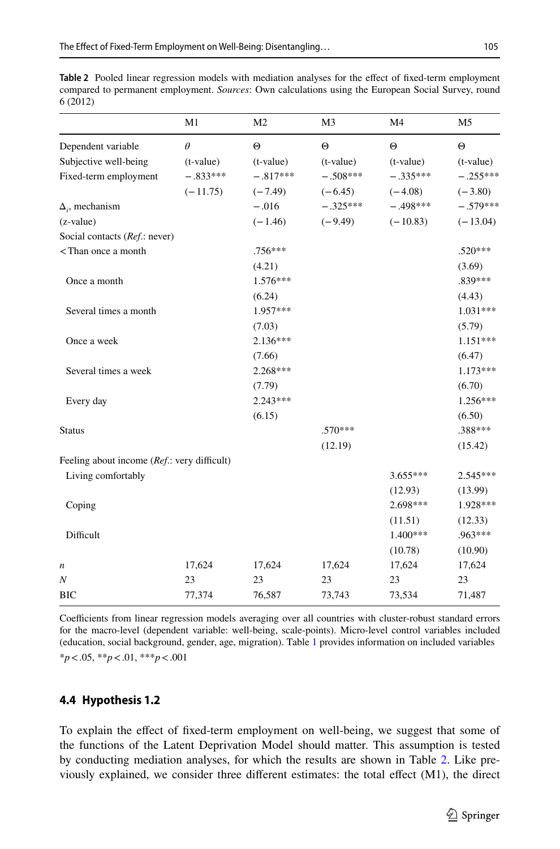<span id="page-14-0"></span>**Table 2** Pooled linear regression models with mediation analyses for the efect of fxed-term employment compared to permanent employment. *Sources*: Own calculations using the European Social Survey, round 6 (2012)

|                                                                                                                    | M1          | M <sub>2</sub> | M <sub>3</sub> | M4          | M <sub>5</sub> |
|--------------------------------------------------------------------------------------------------------------------|-------------|----------------|----------------|-------------|----------------|
| Dependent variable                                                                                                 | $\theta$    | $\Theta$       | $\Theta$       | $\Theta$    | $\Theta$       |
| Subjective well-being                                                                                              | $(t-value)$ | (t-value)      | $(t-value)$    | $(t-value)$ | $(t-value)$    |
| Fixed-term employment                                                                                              | $-.833***$  | $-.817***$     | $-.508***$     | $-.335***$  | $-.255***$     |
|                                                                                                                    | $(-11.75)$  | $(-7.49)$      | $(-6.45)$      | $(-4.08)$   | $(-3.80)$      |
| $\Delta_i$ , mechanism                                                                                             |             | $-.016$        | $-.325***$     | $-.498***$  | $-.579***$     |
| (z-value)                                                                                                          |             | $(-1.46)$      | $(-9.49)$      | $(-10.83)$  | $(-13.04)$     |
| Social contacts (Ref.: never)                                                                                      |             |                |                |             |                |
| <than a="" month<="" once="" td=""><td></td><td>.756***</td><td></td><td></td><td><math>.520***</math></td></than> |             | .756***        |                |             | $.520***$      |
|                                                                                                                    |             | (4.21)         |                |             | (3.69)         |
| Once a month                                                                                                       |             | $1.576***$     |                |             | .839***        |
|                                                                                                                    |             | (6.24)         |                |             | (4.43)         |
| Several times a month                                                                                              |             | 1.957***       |                |             | $1.031***$     |
|                                                                                                                    |             | (7.03)         |                |             | (5.79)         |
| Once a week                                                                                                        |             | $2.136***$     |                |             | $1.151***$     |
|                                                                                                                    |             | (7.66)         |                |             | (6.47)         |
| Several times a week                                                                                               |             | $2.268***$     |                |             | $1.173***$     |
|                                                                                                                    |             | (7.79)         |                |             | (6.70)         |
| Every day                                                                                                          |             | $2.243***$     |                |             | $1.256***$     |
|                                                                                                                    |             | (6.15)         |                |             | (6.50)         |
| <b>Status</b>                                                                                                      |             |                | $.570***$      |             | .388***        |
|                                                                                                                    |             |                | (12.19)        |             | (15.42)        |
| Feeling about income (Ref.: very difficult)                                                                        |             |                |                |             |                |
| Living comfortably                                                                                                 |             |                |                | $3.655***$  | $2.545***$     |
|                                                                                                                    |             |                |                | (12.93)     | (13.99)        |
| Coping                                                                                                             |             |                |                | 2.698***    | 1.928***       |
|                                                                                                                    |             |                |                | (11.51)     | (12.33)        |
| Difficult                                                                                                          |             |                |                | 1.400***    | .963***        |
|                                                                                                                    |             |                |                | (10.78)     | (10.90)        |
| n                                                                                                                  | 17,624      | 17,624         | 17,624         | 17,624      | 17,624         |
| N                                                                                                                  | 23          | 23             | 23             | 23          | 23             |
| <b>BIC</b>                                                                                                         | 77,374      | 76,587         | 73,743         | 73,534      | 71,487         |

Coefficients from linear regression models averaging over all countries with cluster-robust standard errors for the macro-level (dependent variable: well-being, scale-points). Micro-level control variables included (education, social background, gender, age, migration). Table [1](#page-11-0) provides information on included variables \**p*<.05, \*\**p*<.01, \*\*\**p*<.001

## **4.4 Hypothesis 1.2**

To explain the efect of fxed-term employment on well-being, we suggest that some of the functions of the Latent Deprivation Model should matter. This assumption is tested by conducting mediation analyses, for which the results are shown in Table [2.](#page-14-0) Like previously explained, we consider three diferent estimates: the total efect (M1), the direct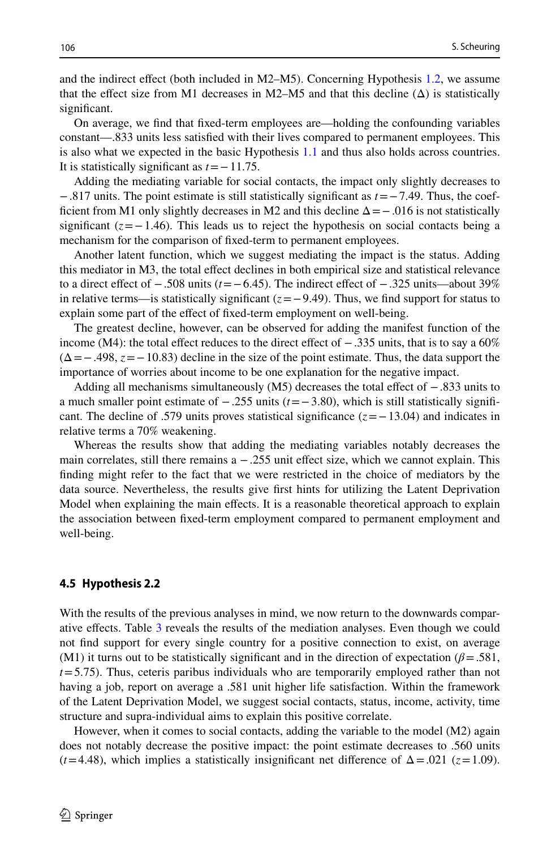and the indirect efect (both included in M2–M5). Concerning Hypothesis [1.2,](#page-4-0) we assume that the effect size from M1 decreases in M2–M5 and that this decline  $(\Delta)$  is statistically significant.

On average, we fnd that fxed-term employees are—holding the confounding variables constant—.833 units less satisfed with their lives compared to permanent employees. This is also what we expected in the basic Hypothesis [1.1](#page-22-1) and thus also holds across countries. It is statistically signifcant as *t*=−11.75.

Adding the mediating variable for social contacts, the impact only slightly decreases to −.817 units. The point estimate is still statistically signifcant as *t*=−7.49. Thus, the coefficient from M1 only slightly decreases in M2 and this decline  $\Delta = -0.016$  is not statistically significant  $(z=-1.46)$ . This leads us to reject the hypothesis on social contacts being a mechanism for the comparison of fxed-term to permanent employees.

Another latent function, which we suggest mediating the impact is the status. Adding this mediator in M3, the total efect declines in both empirical size and statistical relevance to a direct efect of −.508 units (*t*=−6.45). The indirect efect of −.325 units—about 39% in relative terms—is statistically significant  $(z=-9.49)$ . Thus, we find support for status to explain some part of the efect of fxed-term employment on well-being.

The greatest decline, however, can be observed for adding the manifest function of the income (M4): the total effect reduces to the direct effect of  $-0.335$  units, that is to say a 60%  $(\Delta = -.498, z = -10.83)$  decline in the size of the point estimate. Thus, the data support the importance of worries about income to be one explanation for the negative impact.

Adding all mechanisms simultaneously (M5) decreases the total efect of −.833 units to a much smaller point estimate of −.255 units (*t*=−3.80), which is still statistically signifcant. The decline of .579 units proves statistical signifcance (*z*=−13.04) and indicates in relative terms a 70% weakening.

Whereas the results show that adding the mediating variables notably decreases the main correlates, still there remains  $a - 0.255$  unit effect size, which we cannot explain. This fnding might refer to the fact that we were restricted in the choice of mediators by the data source. Nevertheless, the results give frst hints for utilizing the Latent Deprivation Model when explaining the main efects. It is a reasonable theoretical approach to explain the association between fxed-term employment compared to permanent employment and well-being.

## **4.5 Hypothesis 2.2**

With the results of the previous analyses in mind, we now return to the downwards comparative efects. Table [3](#page-16-0) reveals the results of the mediation analyses. Even though we could not fnd support for every single country for a positive connection to exist, on average (M1) it turns out to be statistically significant and in the direction of expectation ( $\beta$ =.581, *t*=5.75). Thus, ceteris paribus individuals who are temporarily employed rather than not having a job, report on average a .581 unit higher life satisfaction. Within the framework of the Latent Deprivation Model, we suggest social contacts, status, income, activity, time structure and supra-individual aims to explain this positive correlate.

However, when it comes to social contacts, adding the variable to the model (M2) again does not notably decrease the positive impact: the point estimate decreases to .560 units  $(t=4.48)$ , which implies a statistically insignificant net difference of  $\Delta = .021$  ( $z=1.09$ ).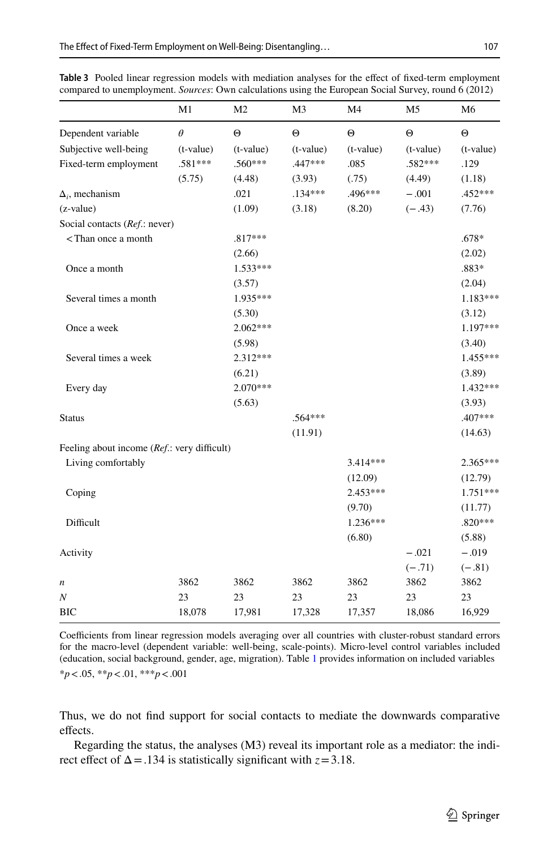|                                                                                                                           | M1        | M <sub>2</sub> | M <sub>3</sub> | M <sub>4</sub> | M <sub>5</sub> | M <sub>6</sub> |
|---------------------------------------------------------------------------------------------------------------------------|-----------|----------------|----------------|----------------|----------------|----------------|
| Dependent variable                                                                                                        | $\theta$  | $\Theta$       | $\Theta$       | $\Theta$       | $\Theta$       | $\Theta$       |
| Subjective well-being                                                                                                     | (t-value) | (t-value)      | (t-value)      | (t-value)      | (t-value)      | $(t-value)$    |
| Fixed-term employment                                                                                                     | .581***   | .560***        | .447 ***       | .085           | .582***        | .129           |
|                                                                                                                           | (5.75)    | (4.48)         | (3.93)         | (.75)          | (4.49)         | (1.18)         |
| $\Delta_i$ , mechanism                                                                                                    |           | .021           | $.134***$      | .496***        | $-.001$        | .452 ***       |
| (z-value)                                                                                                                 |           | (1.09)         | (3.18)         | (8.20)         | $(-.43)$       | (7.76)         |
| Social contacts (Ref.: never)                                                                                             |           |                |                |                |                |                |
| <than a="" month<="" once="" td=""><td></td><td><math>.817***</math></td><td></td><td></td><td></td><td>.678*</td></than> |           | $.817***$      |                |                |                | .678*          |
|                                                                                                                           |           | (2.66)         |                |                |                | (2.02)         |
| Once a month                                                                                                              |           | $1.533***$     |                |                |                | .883*          |
|                                                                                                                           |           | (3.57)         |                |                |                | (2.04)         |
| Several times a month                                                                                                     |           | 1.935***       |                |                |                | $1.183***$     |
|                                                                                                                           |           | (5.30)         |                |                |                | (3.12)         |
| Once a week                                                                                                               |           | $2.062***$     |                |                |                | $1.197***$     |
|                                                                                                                           |           | (5.98)         |                |                |                | (3.40)         |
| Several times a week                                                                                                      |           | $2.312***$     |                |                |                | 1.455***       |
|                                                                                                                           |           | (6.21)         |                |                |                | (3.89)         |
| Every day                                                                                                                 |           | $2.070***$     |                |                |                | $1.432***$     |
|                                                                                                                           |           | (5.63)         |                |                |                | (3.93)         |
| <b>Status</b>                                                                                                             |           |                | $.564***$      |                |                | .407***        |
|                                                                                                                           |           |                | (11.91)        |                |                | (14.63)        |
| Feeling about income (Ref.: very difficult)                                                                               |           |                |                |                |                |                |
| Living comfortably                                                                                                        |           |                |                | $3.414***$     |                | $2.365***$     |
|                                                                                                                           |           |                |                | (12.09)        |                | (12.79)        |
| Coping                                                                                                                    |           |                |                | $2.453***$     |                | $1.751***$     |
|                                                                                                                           |           |                |                | (9.70)         |                | (11.77)        |
| Difficult                                                                                                                 |           |                |                | $1.236***$     |                | $.820***$      |
|                                                                                                                           |           |                |                | (6.80)         |                | (5.88)         |
| Activity                                                                                                                  |           |                |                |                | $-.021$        | $-.019$        |
|                                                                                                                           |           |                |                |                | $(-.71)$       | $(-.81)$       |
| n                                                                                                                         | 3862      | 3862           | 3862           | 3862           | 3862           | 3862           |
| Ν                                                                                                                         | 23        | 23             | 23             | 23             | 23             | 23             |
| <b>BIC</b>                                                                                                                | 18,078    | 17,981         | 17,328         | 17,357         | 18,086         | 16,929         |

<span id="page-16-0"></span>**Table 3** Pooled linear regression models with mediation analyses for the efect of fxed-term employment compared to unemployment. *Sources*: Own calculations using the European Social Survey, round 6 (2012)

Coefficients from linear regression models averaging over all countries with cluster-robust standard errors for the macro-level (dependent variable: well-being, scale-points). Micro-level control variables included (education, social background, gender, age, migration). Table [1](#page-11-0) provides information on included variables \**p*<.05, \*\**p*<.01, \*\*\**p*<.001

Thus, we do not fnd support for social contacts to mediate the downwards comparative effects.

Regarding the status, the analyses (M3) reveal its important role as a mediator: the indirect effect of  $\Delta = .134$  is statistically significant with  $z = 3.18$ .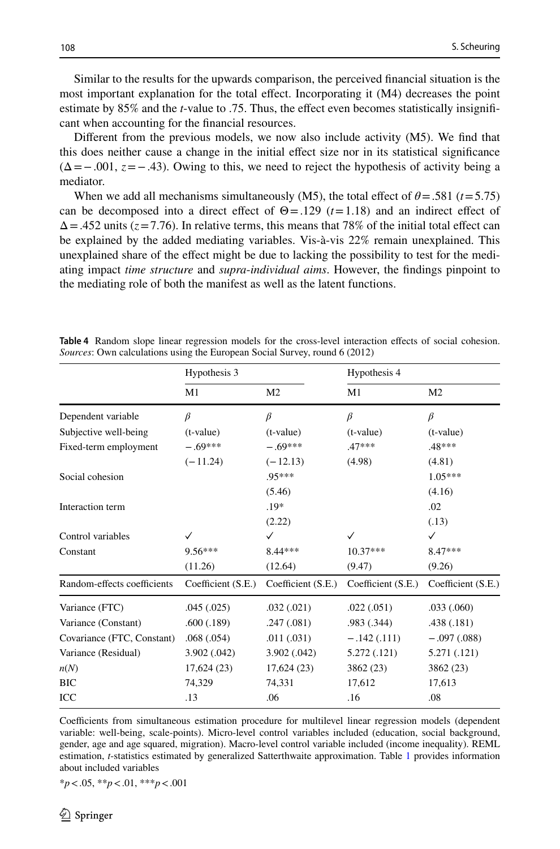Similar to the results for the upwards comparison, the perceived fnancial situation is the most important explanation for the total efect. Incorporating it (M4) decreases the point estimate by 85% and the *t*-value to .75. Thus, the efect even becomes statistically insignifcant when accounting for the fnancial resources.

Diferent from the previous models, we now also include activity (M5). We fnd that this does neither cause a change in the initial efect size nor in its statistical signifcance  $(\Delta = -0.001, z = -0.43)$ . Owing to this, we need to reject the hypothesis of activity being a mediator.

When we add all mechanisms simultaneously (M5), the total effect of  $\theta$  = .581 ( $t$  = 5.75) can be decomposed into a direct effect of  $\Theta = .129$  ( $t = 1.18$ ) and an indirect effect of  $\Delta$  = .452 units ( $z$  = 7.76). In relative terms, this means that 78% of the initial total effect can be explained by the added mediating variables. Vis-à-vis 22% remain unexplained. This unexplained share of the efect might be due to lacking the possibility to test for the mediating impact *time structure* and *supra*-*individual aims*. However, the fndings pinpoint to the mediating role of both the manifest as well as the latent functions.

| Hypothesis 3                             |                    | Hypothesis 4       |                    |
|------------------------------------------|--------------------|--------------------|--------------------|
| M1                                       | M <sub>2</sub>     | M1                 | M <sub>2</sub>     |
| $\beta$                                  | $\beta$            | $\beta$            | $\beta$            |
| $(t-value)$                              | $(t-value)$        | $(t-value)$        | $(t-value)$        |
| $-.69***$                                | $-.69***$          | $.47***$           | .48***             |
| $(-11.24)$                               | $(-12.13)$         | (4.98)             | (4.81)             |
|                                          | $.95***$           |                    | $1.05***$          |
|                                          | (5.46)             |                    | (4.16)             |
|                                          | $.19*$             |                    | .02                |
|                                          | (2.22)             |                    | (.13)              |
|                                          | ✓                  | ✓                  | ✓                  |
| $9.56***$                                | 8.44 ***           | $10.37***$         | $8.47***$          |
| (11.26)                                  | (12.64)            | (9.47)             | (9.26)             |
| Coefficient (S.E.)                       | Coefficient (S.E.) | Coefficient (S.E.) | Coefficient (S.E.) |
| .045(.025)                               | .032(.021)         | .022(.051)         | .033(.060)         |
| .600(.189)                               | .247(.081)         | .983(.344)         | .438(.181)         |
| Covariance (FTC, Constant)<br>.068(.054) | .011(.031)         | $-.142(.111)$      | $-.097(.088)$      |
| 3.902 (.042)                             | 3.902(.042)        | 5.272 (.121)       | 5.271 (.121)       |
| 17,624(23)                               | 17,624(23)         | 3862 (23)          | 3862 (23)          |
| 74,329                                   | 74,331             | 17,612             | 17,613             |
| .13                                      | .06                | .16                | .08                |
|                                          |                    |                    |                    |

<span id="page-17-0"></span>**Table 4** Random slope linear regression models for the cross-level interaction efects of social cohesion. *Sources*: Own calculations using the European Social Survey, round 6 (2012)

Coefficients from simultaneous estimation procedure for multilevel linear regression models (dependent variable: well-being, scale-points). Micro-level control variables included (education, social background, gender, age and age squared, migration). Macro-level control variable included (income inequality). REML estimation, *t*-statistics estimated by generalized Satterthwaite approximation. Table [1](#page-11-0) provides information about included variables

\**p*<.05, \*\**p*<.01, \*\*\**p*<.001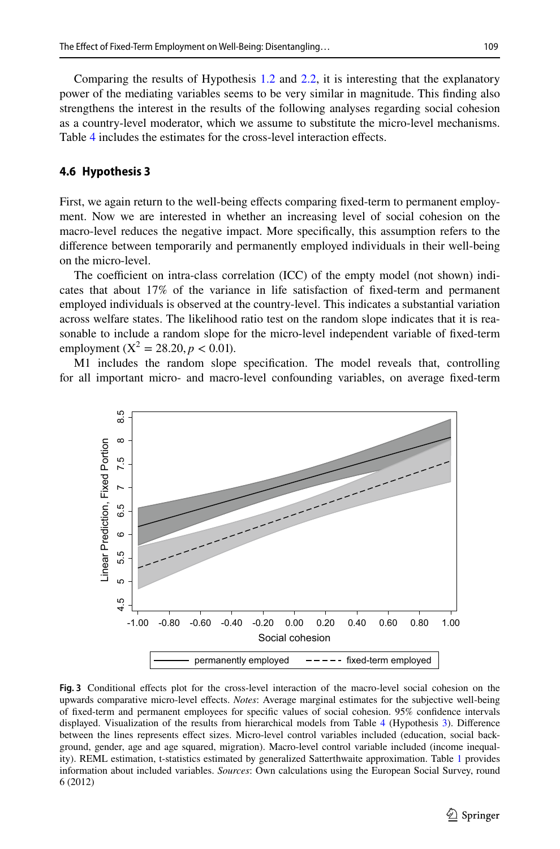Comparing the results of Hypothesis [1.2](#page-4-0) and [2.2](#page-5-1), it is interesting that the explanatory power of the mediating variables seems to be very similar in magnitude. This fnding also strengthens the interest in the results of the following analyses regarding social cohesion as a country-level moderator, which we assume to substitute the micro-level mechanisms. Table [4](#page-17-0) includes the estimates for the cross-level interaction effects.

#### **4.6 Hypothesis 3**

First, we again return to the well-being effects comparing fixed-term to permanent employment. Now we are interested in whether an increasing level of social cohesion on the macro-level reduces the negative impact. More specifcally, this assumption refers to the diference between temporarily and permanently employed individuals in their well-being on the micro-level.

The coefficient on intra-class correlation (ICC) of the empty model (not shown) indicates that about 17% of the variance in life satisfaction of fxed-term and permanent employed individuals is observed at the country-level. This indicates a substantial variation across welfare states. The likelihood ratio test on the random slope indicates that it is reasonable to include a random slope for the micro-level independent variable of fxed-term employment ( $X^2 = 28.20, p < 0.01$ ).

M1 includes the random slope specifcation. The model reveals that, controlling for all important micro- and macro-level confounding variables, on average fxed-term



<span id="page-18-0"></span>**Fig. 3** Conditional efects plot for the cross-level interaction of the macro-level social cohesion on the upwards comparative micro-level efects. *Notes*: Average marginal estimates for the subjective well-being of fxed-term and permanent employees for specifc values of social cohesion. 95% confdence intervals displayed. Visualization of the results from hierarchical models from Table [4](#page-17-0) (Hypothesis [3](#page-5-2)). Diference between the lines represents efect sizes. Micro-level control variables included (education, social background, gender, age and age squared, migration). Macro-level control variable included (income inequality). REML estimation, t-statistics estimated by generalized Satterthwaite approximation. Table [1](#page-11-0) provides information about included variables. *Sources*: Own calculations using the European Social Survey, round 6 (2012)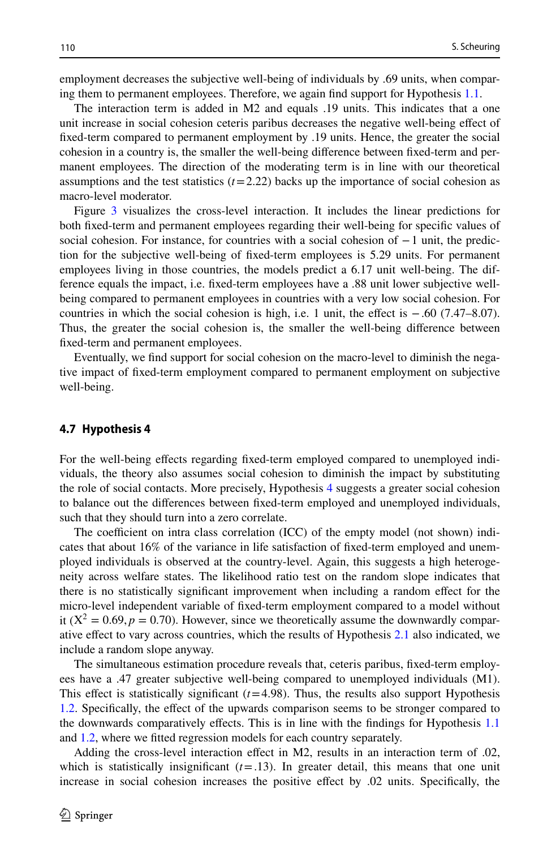employment decreases the subjective well-being of individuals by .69 units, when comparing them to permanent employees. Therefore, we again fnd support for Hypothesis [1.1](#page-22-1).

The interaction term is added in M2 and equals .19 units. This indicates that a one unit increase in social cohesion ceteris paribus decreases the negative well-being efect of fxed-term compared to permanent employment by .19 units. Hence, the greater the social cohesion in a country is, the smaller the well-being diference between fxed-term and permanent employees. The direction of the moderating term is in line with our theoretical assumptions and the test statistics  $(t=2.22)$  backs up the importance of social cohesion as macro-level moderator.

Figure [3](#page-18-0) visualizes the cross-level interaction. It includes the linear predictions for both fxed-term and permanent employees regarding their well-being for specifc values of social cohesion. For instance, for countries with a social cohesion of −1 unit, the prediction for the subjective well-being of fxed-term employees is 5.29 units. For permanent employees living in those countries, the models predict a 6.17 unit well-being. The difference equals the impact, i.e. fxed-term employees have a .88 unit lower subjective wellbeing compared to permanent employees in countries with a very low social cohesion. For countries in which the social cohesion is high, i.e. 1 unit, the effect is  $-.60$  (7.47–8.07). Thus, the greater the social cohesion is, the smaller the well-being diference between fxed-term and permanent employees.

Eventually, we fnd support for social cohesion on the macro-level to diminish the negative impact of fxed-term employment compared to permanent employment on subjective well-being.

## **4.7 Hypothesis 4**

For the well-being efects regarding fxed-term employed compared to unemployed individuals, the theory also assumes social cohesion to diminish the impact by substituting the role of social contacts. More precisely, Hypothesis [4](#page-5-3) suggests a greater social cohesion to balance out the diferences between fxed-term employed and unemployed individuals, such that they should turn into a zero correlate.

The coefficient on intra class correlation  $(ICC)$  of the empty model (not shown) indicates that about 16% of the variance in life satisfaction of fxed-term employed and unemployed individuals is observed at the country-level. Again, this suggests a high heterogeneity across welfare states. The likelihood ratio test on the random slope indicates that there is no statistically signifcant improvement when including a random efect for the micro-level independent variable of fxed-term employment compared to a model without it ( $X^2 = 0.69$ ,  $p = 0.70$ ). However, since we theoretically assume the downwardly comparative efect to vary across countries, which the results of Hypothesis [2.1](#page-5-0) also indicated, we include a random slope anyway.

The simultaneous estimation procedure reveals that, ceteris paribus, fxed-term employees have a .47 greater subjective well-being compared to unemployed individuals (M1). This effect is statistically significant  $(t=4.98)$ . Thus, the results also support Hypothesis [1.2.](#page-4-0) Specifcally, the efect of the upwards comparison seems to be stronger compared to the downwards comparatively efects. This is in line with the fndings for Hypothesis [1.1](#page-22-1) and [1.2,](#page-4-0) where we ftted regression models for each country separately.

Adding the cross-level interaction efect in M2, results in an interaction term of .02, which is statistically insignificant  $(t=1.13)$ . In greater detail, this means that one unit increase in social cohesion increases the positive efect by .02 units. Specifcally, the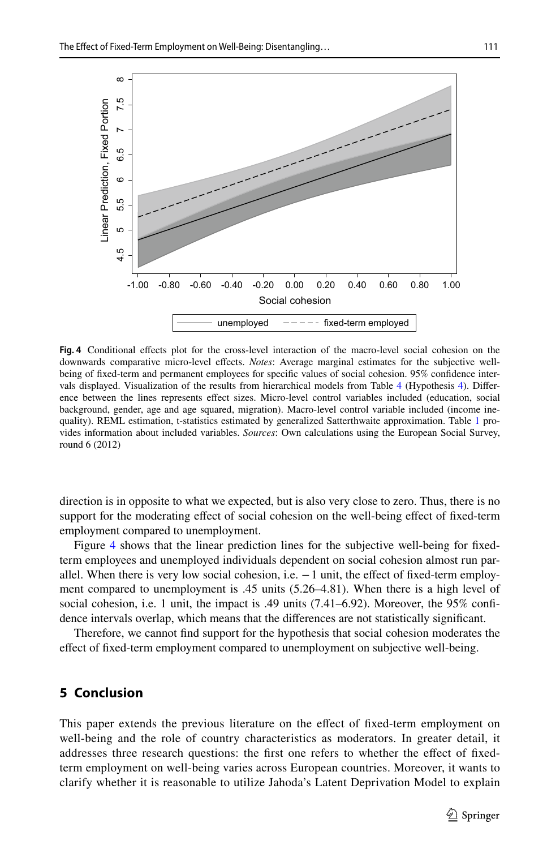

<span id="page-20-0"></span>**Fig. 4** Conditional efects plot for the cross-level interaction of the macro-level social cohesion on the downwards comparative micro-level efects. *Notes*: Average marginal estimates for the subjective wellbeing of fxed-term and permanent employees for specifc values of social cohesion. 95% confdence intervals displayed. Visualization of the results from hierarchical models from Table [4](#page-17-0) (Hypothesis [4\)](#page-5-3). Diference between the lines represents efect sizes. Micro-level control variables included (education, social background, gender, age and age squared, migration). Macro-level control variable included (income inequality). REML estimation, t-statistics estimated by generalized Satterthwaite approximation. Table [1](#page-11-0) provides information about included variables. *Sources*: Own calculations using the European Social Survey, round 6 (2012)

direction is in opposite to what we expected, but is also very close to zero. Thus, there is no support for the moderating effect of social cohesion on the well-being effect of fixed-term employment compared to unemployment.

Figure [4](#page-20-0) shows that the linear prediction lines for the subjective well-being for fxedterm employees and unemployed individuals dependent on social cohesion almost run parallel. When there is very low social cohesion, i.e.  $-1$  unit, the effect of fixed-term employment compared to unemployment is .45 units (5.26–4.81). When there is a high level of social cohesion, i.e. 1 unit, the impact is .49 units (7.41–6.92). Moreover, the 95% confidence intervals overlap, which means that the diferences are not statistically signifcant.

Therefore, we cannot fnd support for the hypothesis that social cohesion moderates the efect of fxed-term employment compared to unemployment on subjective well-being.

# **5 Conclusion**

This paper extends the previous literature on the efect of fxed-term employment on well-being and the role of country characteristics as moderators. In greater detail, it addresses three research questions: the frst one refers to whether the efect of fxedterm employment on well-being varies across European countries. Moreover, it wants to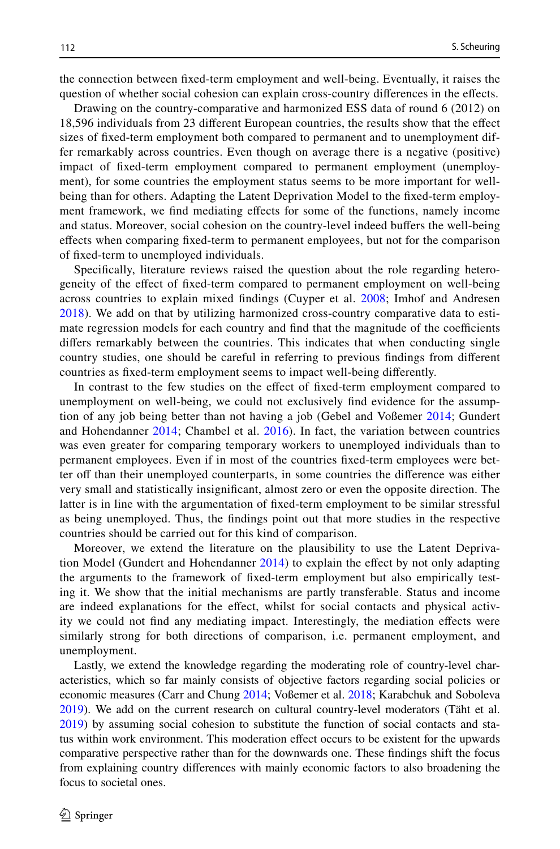the connection between fxed-term employment and well-being. Eventually, it raises the question of whether social cohesion can explain cross-country diferences in the efects.

Drawing on the country-comparative and harmonized ESS data of round 6 (2012) on 18,596 individuals from 23 diferent European countries, the results show that the efect sizes of fxed-term employment both compared to permanent and to unemployment differ remarkably across countries. Even though on average there is a negative (positive) impact of fxed-term employment compared to permanent employment (unemployment), for some countries the employment status seems to be more important for wellbeing than for others. Adapting the Latent Deprivation Model to the fxed-term employment framework, we fnd mediating efects for some of the functions, namely income and status. Moreover, social cohesion on the country-level indeed bufers the well-being efects when comparing fxed-term to permanent employees, but not for the comparison of fxed-term to unemployed individuals.

Specifcally, literature reviews raised the question about the role regarding heterogeneity of the efect of fxed-term compared to permanent employment on well-being across countries to explain mixed fndings (Cuyper et al. [2008;](#page-23-2) Imhof and Andresen [2018](#page-24-3)). We add on that by utilizing harmonized cross-country comparative data to estimate regression models for each country and find that the magnitude of the coefficients difers remarkably between the countries. This indicates that when conducting single country studies, one should be careful in referring to previous fndings from diferent countries as fxed-term employment seems to impact well-being diferently.

In contrast to the few studies on the efect of fxed-term employment compared to unemployment on well-being, we could not exclusively fnd evidence for the assumption of any job being better than not having a job (Gebel and Voßemer [2014](#page-23-4); Gundert and Hohendanner [2014;](#page-23-5) Chambel et al. [2016\)](#page-23-6). In fact, the variation between countries was even greater for comparing temporary workers to unemployed individuals than to permanent employees. Even if in most of the countries fxed-term employees were better off than their unemployed counterparts, in some countries the difference was either very small and statistically insignifcant, almost zero or even the opposite direction. The latter is in line with the argumentation of fxed-term employment to be similar stressful as being unemployed. Thus, the fndings point out that more studies in the respective countries should be carried out for this kind of comparison.

Moreover, we extend the literature on the plausibility to use the Latent Deprivation Model (Gundert and Hohendanner [2014\)](#page-23-5) to explain the efect by not only adapting the arguments to the framework of fxed-term employment but also empirically testing it. We show that the initial mechanisms are partly transferable. Status and income are indeed explanations for the efect, whilst for social contacts and physical activity we could not fnd any mediating impact. Interestingly, the mediation efects were similarly strong for both directions of comparison, i.e. permanent employment, and unemployment.

Lastly, we extend the knowledge regarding the moderating role of country-level characteristics, which so far mainly consists of objective factors regarding social policies or economic measures (Carr and Chung [2014;](#page-23-7) Voßemer et al. [2018](#page-24-4); Karabchuk and Soboleva [2019\)](#page-24-5). We add on the current research on cultural country-level moderators (Täht et al. [2019\)](#page-24-6) by assuming social cohesion to substitute the function of social contacts and status within work environment. This moderation efect occurs to be existent for the upwards comparative perspective rather than for the downwards one. These fndings shift the focus from explaining country diferences with mainly economic factors to also broadening the focus to societal ones.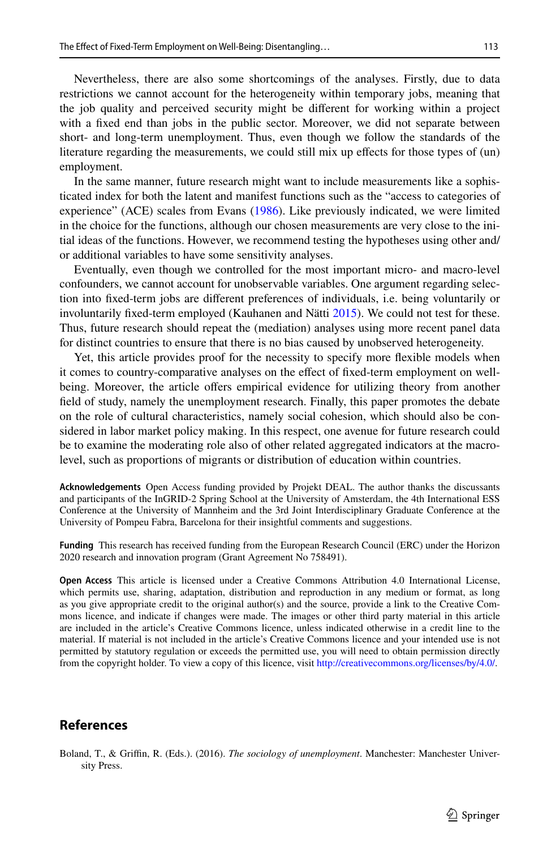Nevertheless, there are also some shortcomings of the analyses. Firstly, due to data restrictions we cannot account for the heterogeneity within temporary jobs, meaning that the job quality and perceived security might be diferent for working within a project with a fxed end than jobs in the public sector. Moreover, we did not separate between short- and long-term unemployment. Thus, even though we follow the standards of the literature regarding the measurements, we could still mix up efects for those types of (un) employment.

In the same manner, future research might want to include measurements like a sophisticated index for both the latent and manifest functions such as the "access to categories of experience" (ACE) scales from Evans ([1986\)](#page-23-24). Like previously indicated, we were limited in the choice for the functions, although our chosen measurements are very close to the initial ideas of the functions. However, we recommend testing the hypotheses using other and/ or additional variables to have some sensitivity analyses.

Eventually, even though we controlled for the most important micro- and macro-level confounders, we cannot account for unobservable variables. One argument regarding selection into fxed-term jobs are diferent preferences of individuals, i.e. being voluntarily or involuntarily fxed-term employed (Kauhanen and Nätti [2015](#page-24-20)). We could not test for these. Thus, future research should repeat the (mediation) analyses using more recent panel data for distinct countries to ensure that there is no bias caused by unobserved heterogeneity.

Yet, this article provides proof for the necessity to specify more fexible models when it comes to country-comparative analyses on the efect of fxed-term employment on wellbeing. Moreover, the article offers empirical evidence for utilizing theory from another feld of study, namely the unemployment research. Finally, this paper promotes the debate on the role of cultural characteristics, namely social cohesion, which should also be considered in labor market policy making. In this respect, one avenue for future research could be to examine the moderating role also of other related aggregated indicators at the macrolevel, such as proportions of migrants or distribution of education within countries.

**Acknowledgements** Open Access funding provided by Projekt DEAL. The author thanks the discussants and participants of the InGRID-2 Spring School at the University of Amsterdam, the 4th International ESS Conference at the University of Mannheim and the 3rd Joint Interdisciplinary Graduate Conference at the University of Pompeu Fabra, Barcelona for their insightful comments and suggestions.

<span id="page-22-1"></span>**Funding** This research has received funding from the European Research Council (ERC) under the Horizon 2020 research and innovation program (Grant Agreement No 758491).

**Open Access** This article is licensed under a Creative Commons Attribution 4.0 International License, which permits use, sharing, adaptation, distribution and reproduction in any medium or format, as long as you give appropriate credit to the original author(s) and the source, provide a link to the Creative Commons licence, and indicate if changes were made. The images or other third party material in this article are included in the article's Creative Commons licence, unless indicated otherwise in a credit line to the material. If material is not included in the article's Creative Commons licence and your intended use is not permitted by statutory regulation or exceeds the permitted use, you will need to obtain permission directly from the copyright holder. To view a copy of this licence, visit [http://creativecommons.org/licenses/by/4.0/.](http://creativecommons.org/licenses/by/4.0/)

# **References**

<span id="page-22-0"></span>Boland, T., & Grifn, R. (Eds.). (2016). *The sociology of unemployment*. Manchester: Manchester University Press.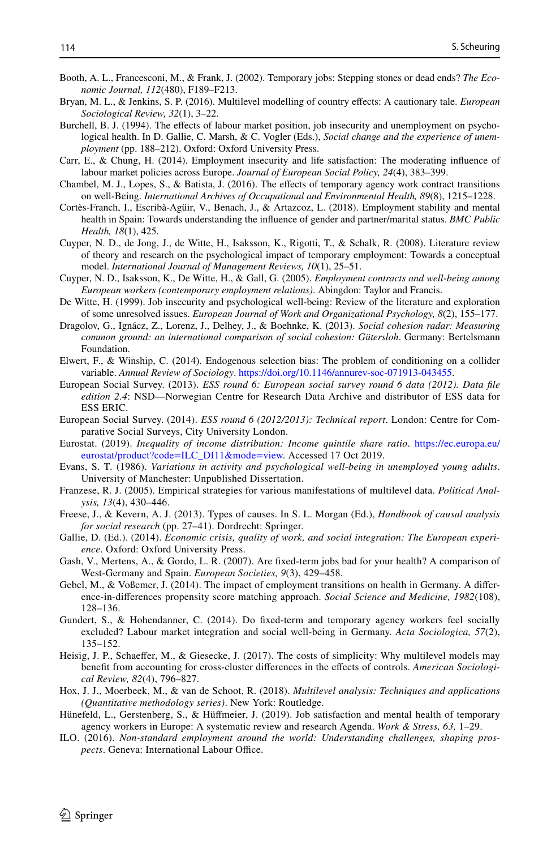- <span id="page-23-9"></span>Booth, A. L., Francesconi, M., & Frank, J. (2002). Temporary jobs: Stepping stones or dead ends? *The Economic Journal, 112*(480), F189–F213.
- <span id="page-23-20"></span>Bryan, M. L., & Jenkins, S. P. (2016). Multilevel modelling of country efects: A cautionary tale. *European Sociological Review, 32*(1), 3–22.
- <span id="page-23-0"></span>Burchell, B. J. (1994). The effects of labour market position, job insecurity and unemployment on psychological health. In D. Gallie, C. Marsh, & C. Vogler (Eds.), *Social change and the experience of unemployment* (pp. 188–212). Oxford: Oxford University Press.
- <span id="page-23-7"></span>Carr, E., & Chung, H. (2014). Employment insecurity and life satisfaction: The moderating infuence of labour market policies across Europe. *Journal of European Social Policy, 24*(4), 383–399.
- <span id="page-23-6"></span>Chambel, M. J., Lopes, S., & Batista, J. (2016). The efects of temporary agency work contract transitions on well-Being. *International Archives of Occupational and Environmental Health, 89*(8), 1215–1228.
- <span id="page-23-16"></span>Cortès-Franch, I., Escribà-Agüir, V., Benach, J., & Artazcoz, L. (2018). Employment stability and mental health in Spain: Towards understanding the infuence of gender and partner/marital status. *BMC Public Health, 18*(1), 425.
- <span id="page-23-2"></span>Cuyper, N. D., de Jong, J., de Witte, H., Isaksson, K., Rigotti, T., & Schalk, R. (2008). Literature review of theory and research on the psychological impact of temporary employment: Towards a conceptual model. *International Journal of Management Reviews, 10*(1), 25–51.
- <span id="page-23-11"></span>Cuyper, N. D., Isaksson, K., De Witte, H., & Gall, G. (2005). *Employment contracts and well-being among European workers (contemporary employment relations)*. Abingdon: Taylor and Francis.
- <span id="page-23-1"></span>De Witte, H. (1999). Job insecurity and psychological well-being: Review of the literature and exploration of some unresolved issues. *European Journal of Work and Organizational Psychology, 8*(2), 155–177.
- <span id="page-23-15"></span>Dragolov, G., Ignácz, Z., Lorenz, J., Delhey, J., & Boehnke, K. (2013). *Social cohesion radar: Measuring common ground: an international comparison of social cohesion: Gütersloh*. Germany: Bertelsmann Foundation.
- <span id="page-23-18"></span>Elwert, F., & Winship, C. (2014). Endogenous selection bias: The problem of conditioning on a collider variable. *Annual Review of Sociology*. [https://doi.org/10.1146/annurev-soc-071913-043455.](https://doi.org/10.1146/annurev-soc-071913-043455)
- <span id="page-23-13"></span>European Social Survey. (2013). *ESS round 6: European social survey round 6 data (2012). Data fle edition 2.4*: NSD—Norwegian Centre for Research Data Archive and distributor of ESS data for ESS ERIC.
- <span id="page-23-14"></span>European Social Survey. (2014). *ESS round 6 (2012/2013): Technical report*. London: Centre for Comparative Social Surveys, City University London.
- <span id="page-23-17"></span>Eurostat. (2019). *Inequality of income distribution: Income quintile share ratio*. [https://ec.europa.eu/](https://ec.europa.eu/eurostat/product%3fcode%3dILC_DI11%26mode%3dview) [eurostat/product?code=ILC\\_DI11&mode=view.](https://ec.europa.eu/eurostat/product%3fcode%3dILC_DI11%26mode%3dview) Accessed 17 Oct 2019.
- <span id="page-23-24"></span>Evans, S. T. (1986). *Variations in activity and psychological well*-*being in unemployed young adults*. University of Manchester: Unpublished Dissertation.
- <span id="page-23-19"></span>Franzese, R. J. (2005). Empirical strategies for various manifestations of multilevel data. *Political Analysis, 13*(4), 430–446.
- <span id="page-23-23"></span>Freese, J., & Kevern, A. J. (2013). Types of causes. In S. L. Morgan (Ed.), *Handbook of causal analysis for social research* (pp. 27–41). Dordrecht: Springer.
- <span id="page-23-12"></span>Gallie, D. (Ed.). (2014). *Economic crisis, quality of work, and social integration: The European experience*. Oxford: Oxford University Press.
- <span id="page-23-8"></span>Gash, V., Mertens, A., & Gordo, L. R. (2007). Are fxed-term jobs bad for your health? A comparison of West-Germany and Spain. *European Societies, 9*(3), 429–458.
- <span id="page-23-4"></span>Gebel, M., & Voßemer, J. (2014). The impact of employment transitions on health in Germany. A diference-in-diferences propensity score matching approach. *Social Science and Medicine, 1982*(108), 128–136.
- <span id="page-23-5"></span>Gundert, S., & Hohendanner, C. (2014). Do fxed-term and temporary agency workers feel socially excluded? Labour market integration and social well-being in Germany. *Acta Sociologica, 57*(2), 135–152.
- <span id="page-23-22"></span>Heisig, J. P., Schaeffer, M., & Giesecke, J. (2017). The costs of simplicity: Why multilevel models may beneft from accounting for cross-cluster diferences in the efects of controls. *American Sociological Review, 82*(4), 796–827.
- <span id="page-23-21"></span>Hox, J. J., Moerbeek, M., & van de Schoot, R. (2018). *Multilevel analysis: Techniques and applications (Quantitative methodology series)*. New York: Routledge.
- <span id="page-23-3"></span>Hünefeld, L., Gerstenberg, S., & Hüfmeier, J. (2019). Job satisfaction and mental health of temporary agency workers in Europe: A systematic review and research Agenda. *Work & Stress, 63,* 1–29.
- <span id="page-23-10"></span>ILO. (2016). *Non-standard employment around the world: Understanding challenges, shaping prospects*. Geneva: International Labour Office.